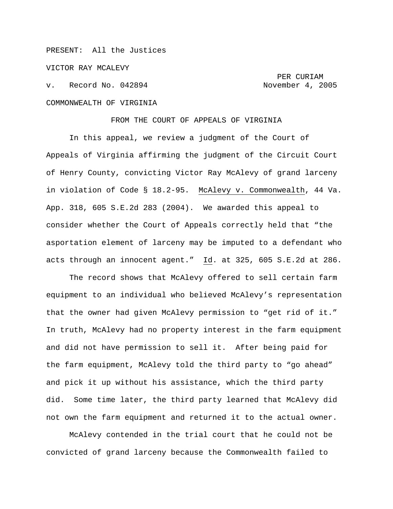## PRESENT: All the Justices

VICTOR RAY MCALEVY

v. Record No. 042894 November 4, 2005 COMMONWEALTH OF VIRGINIA

PER CURIAM

FROM THE COURT OF APPEALS OF VIRGINIA

In this appeal, we review a judgment of the Court of Appeals of Virginia affirming the judgment of the Circuit Court of Henry County, convicting Victor Ray McAlevy of grand larceny in violation of Code § 18.2-95. McAlevy v. Commonwealth, 44 Va. App. 318, 605 S.E.2d 283 (2004). We awarded this appeal to consider whether the Court of Appeals correctly held that "the asportation element of larceny may be imputed to a defendant who acts through an innocent agent." Id. at 325, 605 S.E.2d at 286.

The record shows that McAlevy offered to sell certain farm equipment to an individual who believed McAlevy's representation that the owner had given McAlevy permission to "get rid of it." In truth, McAlevy had no property interest in the farm equipment and did not have permission to sell it. After being paid for the farm equipment, McAlevy told the third party to "go ahead" and pick it up without his assistance, which the third party did. Some time later, the third party learned that McAlevy did not own the farm equipment and returned it to the actual owner.

McAlevy contended in the trial court that he could not be convicted of grand larceny because the Commonwealth failed to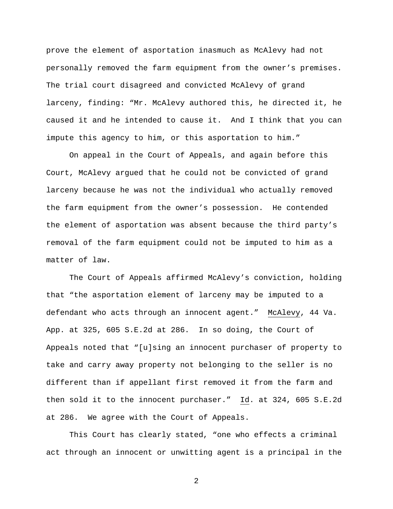prove the element of asportation inasmuch as McAlevy had not personally removed the farm equipment from the owner's premises. The trial court disagreed and convicted McAlevy of grand larceny, finding: "Mr. McAlevy authored this, he directed it, he caused it and he intended to cause it. And I think that you can impute this agency to him, or this asportation to him."

On appeal in the Court of Appeals, and again before this Court, McAlevy argued that he could not be convicted of grand larceny because he was not the individual who actually removed the farm equipment from the owner's possession. He contended the element of asportation was absent because the third party's removal of the farm equipment could not be imputed to him as a matter of law.

The Court of Appeals affirmed McAlevy's conviction, holding that "the asportation element of larceny may be imputed to a defendant who acts through an innocent agent." McAlevy, 44 Va. App. at 325, 605 S.E.2d at 286. In so doing, the Court of Appeals noted that "[u]sing an innocent purchaser of property to take and carry away property not belonging to the seller is no different than if appellant first removed it from the farm and then sold it to the innocent purchaser." Id. at 324, 605 S.E.2d at 286. We agree with the Court of Appeals.

This Court has clearly stated, "one who effects a criminal act through an innocent or unwitting agent is a principal in the

2